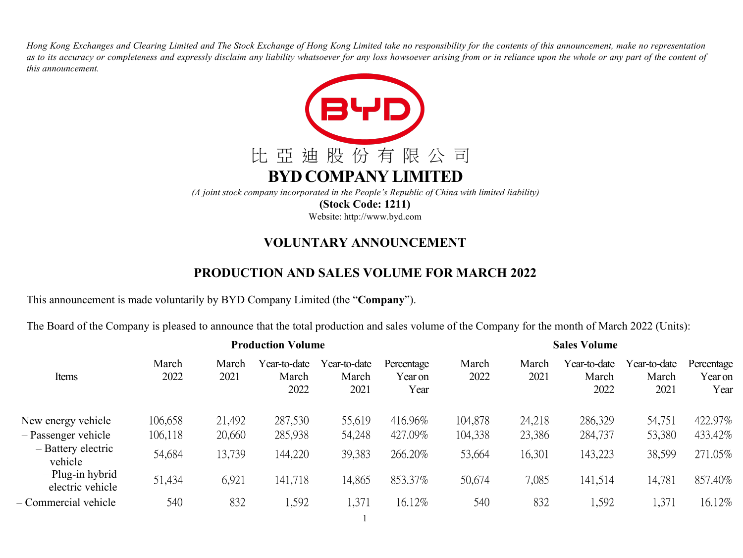Hong Kong Exchanges and Clearing Limited and The Stock Exchange of Hong Kong Limited take no responsibility for the contents of this announcement, make no representation as to its accuracy or completeness and expressly disclaim any liability whatsoever for any loss howsoever arising from or in reliance upon the whole or any part of the content of *this announcement.*



**(Stock Code: 1211)**

Website: http://www.byd.com

## **VOLUNTARY ANNOUNCEMENT**

## **PRODUCTION AND SALES VOLUME FOR MARCH 2022**

This announcement is made voluntarily by BYD Company Limited (the "**Company**").

The Board of the Company is pleased to announce that the total production and sales volume of the Company for the month of March 2022 (Units):

|                                      | <b>Production Volume</b> |               |                               |                               |                               |               | <b>Sales Volume</b> |                               |                               |                               |  |  |
|--------------------------------------|--------------------------|---------------|-------------------------------|-------------------------------|-------------------------------|---------------|---------------------|-------------------------------|-------------------------------|-------------------------------|--|--|
| Items                                | March<br>2022            | March<br>2021 | Year-to-date<br>March<br>2022 | Year-to-date<br>March<br>2021 | Percentage<br>Year on<br>Year | March<br>2022 | March<br>2021       | Year-to-date<br>March<br>2022 | Year-to-date<br>March<br>2021 | Percentage<br>Year on<br>Year |  |  |
| New energy vehicle                   | 106,658                  | 21,492        | 287,530                       | 55,619                        | 416.96%                       | 104,878       | 24,218              | 286,329                       | 54,751                        | 422.97%                       |  |  |
| $-$ Passenger vehicle                | 106,118                  | 20,660        | 285,938                       | 54,248                        | 427.09%                       | 104,338       | 23,386              | 284,737                       | 53,380                        | 433.42%                       |  |  |
| - Battery electric<br>vehicle        | 54,684                   | 13,739        | 144,220                       | 39,383                        | 266.20%                       | 53,664        | 16,301              | 143,223                       | 38,599                        | 271.05%                       |  |  |
| - Plug-in hybrid<br>electric vehicle | 51,434                   | 6,921         | 141,718                       | 14,865                        | 853.37%                       | 50,674        | 7,085               | 141,514                       | 14,781                        | 857.40%                       |  |  |
| Commercial vehicle                   | 540                      | 832           | 1,592                         | 1,371                         | 16.12%                        | 540           | 832                 | 1,592                         | 1,371                         | 16.12%                        |  |  |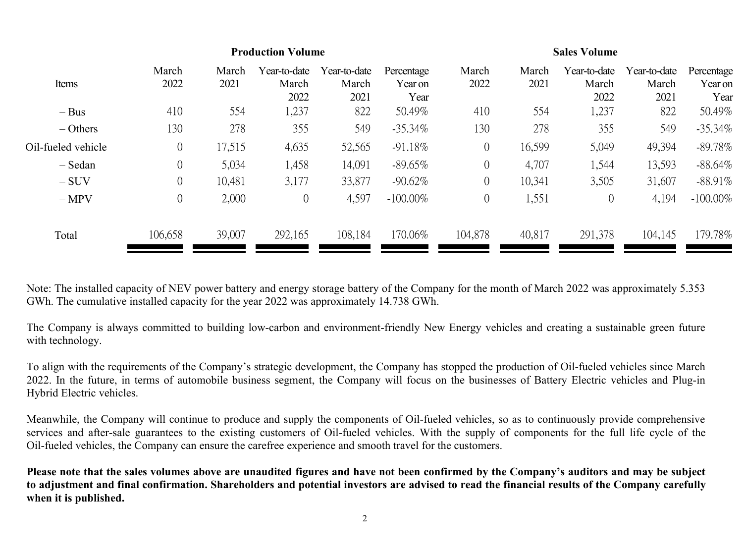|                    | <b>Production Volume</b> |               |                               |                               |                               |                | <b>Sales Volume</b> |                               |                               |                               |  |  |
|--------------------|--------------------------|---------------|-------------------------------|-------------------------------|-------------------------------|----------------|---------------------|-------------------------------|-------------------------------|-------------------------------|--|--|
| Items              | March<br>2022            | March<br>2021 | Year-to-date<br>March<br>2022 | Year-to-date<br>March<br>2021 | Percentage<br>Year on<br>Year | March<br>2022  | March<br>2021       | Year-to-date<br>March<br>2022 | Year-to-date<br>March<br>2021 | Percentage<br>Year on<br>Year |  |  |
| $-$ Bus            | 410                      | 554           | 1,237                         | 822                           | 50.49%                        | 410            | 554                 | 1,237                         | 822                           | 50.49%                        |  |  |
| $-$ Others         | 130                      | 278           | 355                           | 549                           | $-35.34\%$                    | 130            | 278                 | 355                           | 549                           | $-35.34\%$                    |  |  |
| Oil-fueled vehicle | $\overline{0}$           | 17,515        | 4,635                         | 52,565                        | $-91.18\%$                    | $\overline{0}$ | 16,599              | 5,049                         | 49,394                        | $-89.78\%$                    |  |  |
| - Sedan            | $\overline{0}$           | 5,034         | 1,458                         | 14,091                        | $-89.65\%$                    | $\overline{0}$ | 4,707               | 1,544                         | 13,593                        | $-88.64\%$                    |  |  |
| $-SUV$             | 0                        | 10,481        | 3,177                         | 33,877                        | $-90.62\%$                    | $\overline{0}$ | 10,341              | 3,505                         | 31,607                        | $-88.91\%$                    |  |  |
| $-MPV$             | $\overline{0}$           | 2,000         | $\overline{0}$                | 4,597                         | $-100.00\%$                   | $\overline{0}$ | 1,551               | $\overline{0}$                | 4,194                         | $-100.00\%$                   |  |  |
| Total              | 106,658                  | 39,007        | 292,165                       | 108,184                       | 170.06%                       | 104,878        | 40,817              | 291,378                       | 104,145                       | 179.78%                       |  |  |

Note: The installed capacity of NEV power battery and energy storage battery of the Company for the month of March 2022 was approximately 5.353 GWh. The cumulative installed capacity for the year 2022 was approximately 14.738 GWh.

The Company is always committed to building low-carbon and environment-friendly New Energy vehicles and creating a sustainable green future with technology.

To align with the requirements of the Company's strategic development, the Company has stopped the production of Oil-fueled vehicles since March 2022. In the future, in terms of automobile business segment, the Company will focus on the businesses of Battery Electric vehicles and Plug-in Hybrid Electric vehicles.

Meanwhile, the Company will continue to produce and supply the components of Oil-fueled vehicles, so as to continuously provide comprehensive services and after-sale guarantees to the existing customers of Oil-fueled vehicles. With the supply of components for the full life cycle of the Oil-fueled vehicles, the Company can ensure the carefree experience and smooth travel for the customers.

Please note that the sales volumes above are unaudited figures and have not been confirmed by the Company's auditors and may be subject to adjustment and final confirmation. Shareholders and potential investors are advised to read the financial results of the Company carefully **when it is published.**